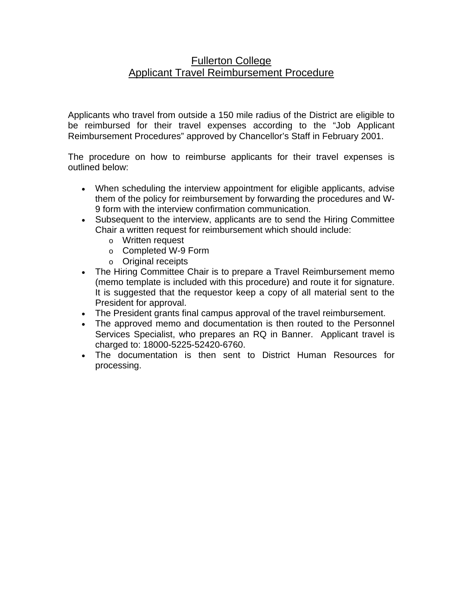## Fullerton College Applicant Travel Reimbursement Procedure

Applicants who travel from outside a 150 mile radius of the District are eligible to be reimbursed for their travel expenses according to the "Job Applicant Reimbursement Procedures" approved by Chancellor's Staff in February 2001.

The procedure on how to reimburse applicants for their travel expenses is outlined below:

- When scheduling the interview appointment for eligible applicants, advise them of the policy for reimbursement by forwarding the procedures and W-9 form with the interview confirmation communication.
- Subsequent to the interview, applicants are to send the Hiring Committee Chair a written request for reimbursement which should include:
	- o Written request
	- o Completed W-9 Form
	- o Original receipts
- The Hiring Committee Chair is to prepare a Travel Reimbursement memo (memo template is included with this procedure) and route it for signature. It is suggested that the requestor keep a copy of all material sent to the President for approval.
- The President grants final campus approval of the travel reimbursement.
- The approved memo and documentation is then routed to the Personnel Services Specialist, who prepares an RQ in Banner. Applicant travel is charged to: 18000-5225-52420-6760.
- The documentation is then sent to District Human Resources for processing.